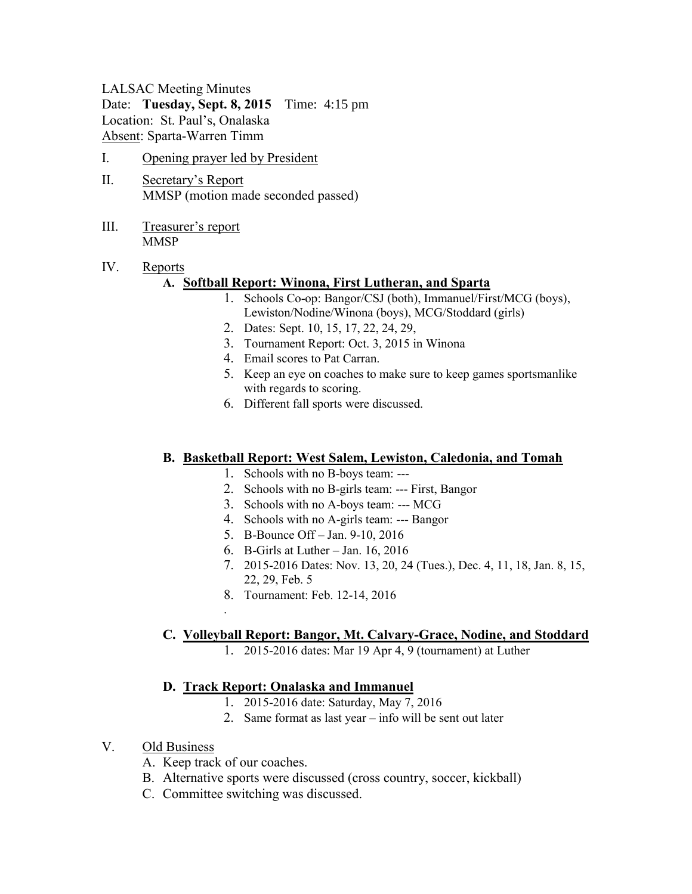#### LALSAC Meeting Minutes

Date: **Tuesday, Sept. 8, 2015** Time: 4:15 pm

Location: St. Paul's, Onalaska Absent: Sparta-Warren Timm

- I. Opening prayer led by President
- II. Secretary's Report MMSP (motion made seconded passed)
- III. Treasurer's report **MMSP**

# IV. Reports

# **A. Softball Report: Winona, First Lutheran, and Sparta**

- 1. Schools Co-op: Bangor/CSJ (both), Immanuel/First/MCG (boys), Lewiston/Nodine/Winona (boys), MCG/Stoddard (girls)
- 2. Dates: Sept. 10, 15, 17, 22, 24, 29,
- 3. Tournament Report: Oct. 3, 2015 in Winona
- 4. Email scores to Pat Carran.
- 5. Keep an eye on coaches to make sure to keep games sportsmanlike with regards to scoring.
- 6. Different fall sports were discussed.

# **B. Basketball Report: West Salem, Lewiston, Caledonia, and Tomah**

- 1. Schools with no B-boys team: ---
- 2. Schools with no B-girls team: --- First, Bangor
- 3. Schools with no A-boys team: --- MCG
- 4. Schools with no A-girls team: --- Bangor
- 5. B-Bounce Off Jan. 9-10, 2016
- 6. B-Girls at Luther Jan. 16, 2016
- 7. 2015-2016 Dates: Nov. 13, 20, 24 (Tues.), Dec. 4, 11, 18, Jan. 8, 15, 22, 29, Feb. 5
- 8. Tournament: Feb. 12-14, 2016

# **C. Volleyball Report: Bangor, Mt. Calvary-Grace, Nodine, and Stoddard**

1. 2015-2016 dates: Mar 19 Apr 4, 9 (tournament) at Luther

# **D. Track Report: Onalaska and Immanuel**

- 1. 2015-2016 date: Saturday, May 7, 2016
- 2. Same format as last year info will be sent out later
- V. Old Business
	- A. Keep track of our coaches.

.

- B. Alternative sports were discussed (cross country, soccer, kickball)
- C. Committee switching was discussed.